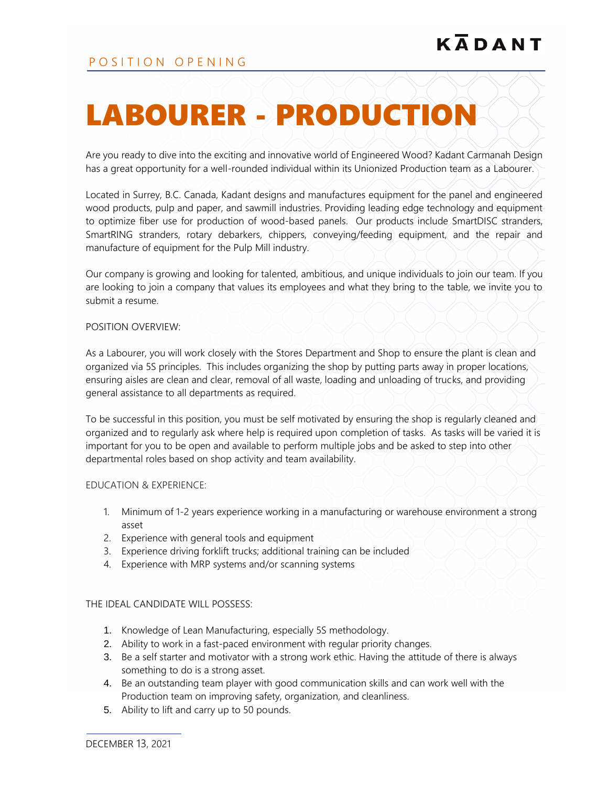# LABOURER - PRODUCTION

Are you ready to dive into the exciting and innovative world of Engineered Wood? Kadant Carmanah Design has a great opportunity for a well-rounded individual within its Unionized Production team as a Labourer.

Located in Surrey, B.C. Canada, Kadant designs and manufactures equipment for the panel and engineered wood products, pulp and paper, and sawmill industries. Providing leading edge technology and equipment to optimize fiber use for production of wood-based panels. Our products include SmartDISC stranders, SmartRING stranders, rotary debarkers, chippers, conveying/feeding equipment, and the repair and manufacture of equipment for the Pulp Mill industry.

Our company is growing and looking for talented, ambitious, and unique individuals to join our team. If you are looking to join a company that values its employees and what they bring to the table, we invite you to submit a resume.

#### POSITION OVERVIEW:

As a Labourer, you will work closely with the Stores Department and Shop to ensure the plant is clean and organized via 5S principles. This includes organizing the shop by putting parts away in proper locations, ensuring aisles are clean and clear, removal of all waste, loading and unloading of trucks, and providing general assistance to all departments as required.

To be successful in this position, you must be self motivated by ensuring the shop is regularly cleaned and organized and to regularly ask where help is required upon completion of tasks. As tasks will be varied it is important for you to be open and available to perform multiple jobs and be asked to step into other departmental roles based on shop activity and team availability.

## EDUCATION & EXPERIENCE:

- 1. Minimum of 1-2 years experience working in a manufacturing or warehouse environment a strong asset
- 2. Experience with general tools and equipment
- 3. Experience driving forklift trucks; additional training can be included
- 4. Experience with MRP systems and/or scanning systems

## THE IDEAL CANDIDATE WILL POSSESS:

- 1. Knowledge of Lean Manufacturing, especially 5S methodology.
- 2. Ability to work in a fast-paced environment with regular priority changes.
- 3. Be a self starter and motivator with a strong work ethic. Having the attitude of there is always something to do is a strong asset.
- 4. Be an outstanding team player with good communication skills and can work well with the Production team on improving safety, organization, and cleanliness.
- 5. Ability to lift and carry up to 50 pounds.